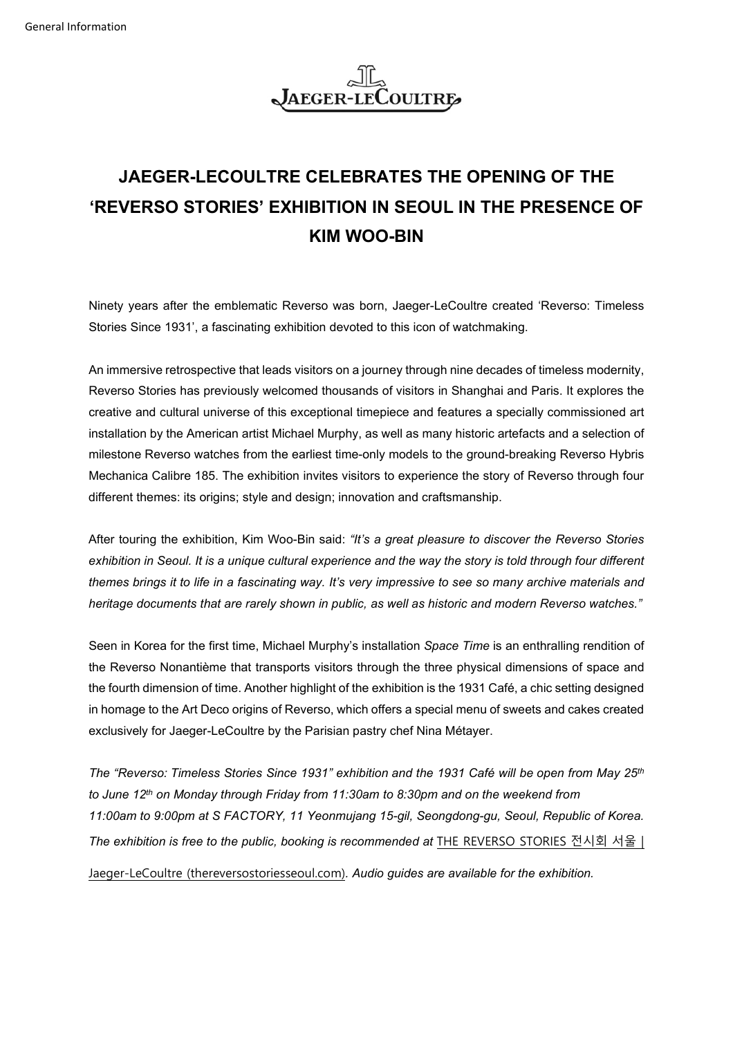

## **JAEGER-LECOULTRE CELEBRATES THE OPENING OF THE 'REVERSO STORIES' EXHIBITION IN SEOUL IN THE PRESENCE OF KIM WOO-BIN**

Ninety years after the emblematic Reverso was born, Jaeger-LeCoultre created 'Reverso: Timeless Stories Since 1931', a fascinating exhibition devoted to this icon of watchmaking.

An immersive retrospective that leads visitors on a journey through nine decades of timeless modernity, Reverso Stories has previously welcomed thousands of visitors in Shanghai and Paris. It explores the creative and cultural universe of this exceptional timepiece and features a specially commissioned art installation by the American artist Michael Murphy, as well as many historic artefacts and a selection of milestone Reverso watches from the earliest time-only models to the ground-breaking Reverso Hybris Mechanica Calibre 185. The exhibition invites visitors to experience the story of Reverso through four different themes: its origins; style and design; innovation and craftsmanship.

After touring the exhibition, Kim Woo-Bin said: *"It's a great pleasure to discover the Reverso Stories exhibition in Seoul. It is a unique cultural experience and the way the story is told through four different themes brings it to life in a fascinating way. It's very impressive to see so many archive materials and heritage documents that are rarely shown in public, as well as historic and modern Reverso watches."*

Seen in Korea for the first time, Michael Murphy's installation *Space Time* is an enthralling rendition of the Reverso Nonantième that transports visitors through the three physical dimensions of space and the fourth dimension of time. Another highlight of the exhibition is the 1931 Café, a chic setting designed in homage to the Art Deco origins of Reverso, which offers a special menu of sweets and cakes created exclusively for Jaeger-LeCoultre by the Parisian pastry chef Nina Métayer.

*The "Reverso: Timeless Stories Since 1931" exhibition and the 1931 Café will be open from May 25th to June 12th on Monday through Friday from 11:30am to 8:30pm and on the weekend from 11:00am to 9:00pm at S FACTORY, 11 Yeonmujang 15-gil, Seongdong-gu, Seoul, Republic of Korea. The exhibition is free to the public, booking is recommended at* [THE REVERSO STORIES](https://www.thereversostoriesseoul.com/main.php) 전시회 서울 |

[Jaeger-LeCoultre \(thereversostoriesseoul.com\)](https://www.thereversostoriesseoul.com/main.php)*. Audio guides are available for the exhibition.*